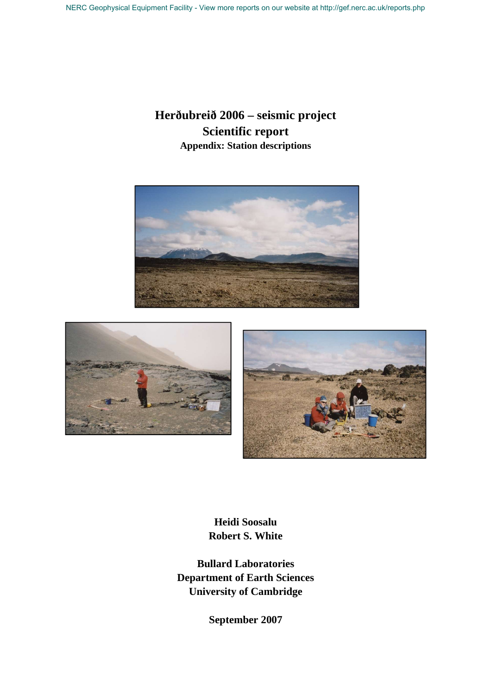# **Herðubreið 2006 – seismic project Scientific report Appendix: Station descriptions**







**Heidi Soosalu Robert S. White**

**Bullard Laboratories Department of Earth Sciences University of Cambridge**

**September 2007**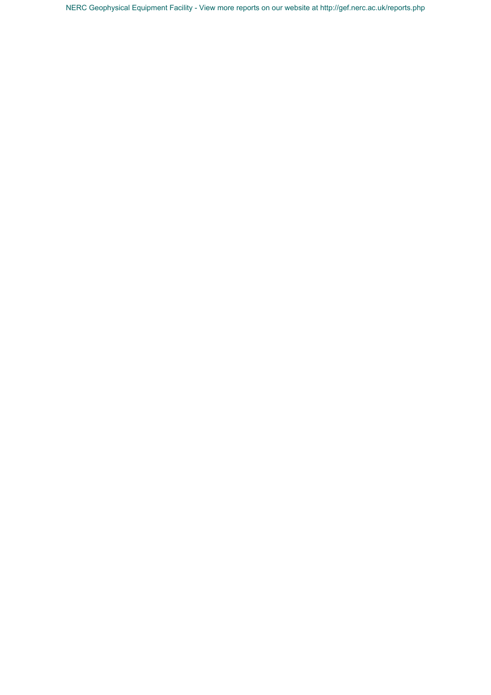NERC Geophysical Equipment Facility - View more reports on our website at http://gef.nerc.ac.uk/reports.php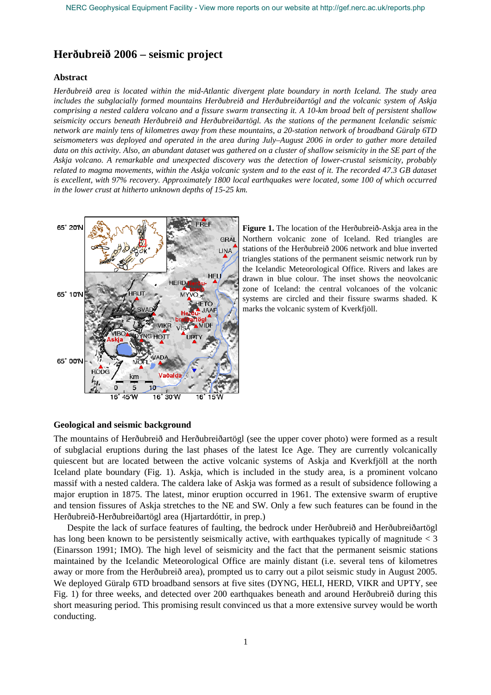# **Herðubreið 2006 – seismic project**

#### **Abstract**

*Herðubreið area is located within the mid-Atlantic divergent plate boundary in north Iceland. The study area includes the subglacially formed mountains Herðubreið and Herðubreiðartögl and the volcanic system of Askja comprising a nested caldera volcano and a fissure swarm transecting it. A 10-km broad belt of persistent shallow seismicity occurs beneath Herðubreið and Herðubreiðartögl. As the stations of the permanent Icelandic seismic network are mainly tens of kilometres away from these mountains, a 20-station network of broadband Güralp 6TD seismometers was deployed and operated in the area during July–August 2006 in order to gather more detailed data on this activity. Also, an abundant dataset was gathered on a cluster of shallow seismicity in the SE part of the Askja volcano. A remarkable and unexpected discovery was the detection of lower-crustal seismicity, probably related to magma movements, within the Askja volcanic system and to the east of it. The recorded 47.3 GB dataset is excellent, with 97% recovery. Approximately 1800 local earthquakes were located, some 100 of which occurred in the lower crust at hitherto unknown depths of 15-25 km.*



**Figure 1.** The location of the Herðubreið-Askja area in the Northern volcanic zone of Iceland. Red triangles are stations of the Herðubreið 2006 network and blue inverted triangles stations of the permanent seismic network run by the Icelandic Meteorological Office. Rivers and lakes are drawn in blue colour. The inset shows the neovolcanic zone of Iceland: the central volcanoes of the volcanic systems are circled and their fissure swarms shaded. K marks the volcanic system of Kverkfjöll.

#### **Geological and seismic background**

The mountains of Herðubreið and Herðubreiðartögl (see the upper cover photo) were formed as a result of subglacial eruptions during the last phases of the latest Ice Age. They are currently volcanically quiescent but are located between the active volcanic systems of Askja and Kverkfjöll at the north Iceland plate boundary (Fig. 1). Askja, which is included in the study area, is a prominent volcano massif with a nested caldera. The caldera lake of Askja was formed as a result of subsidence following a major eruption in 1875. The latest, minor eruption occurred in 1961. The extensive swarm of eruptive and tension fissures of Askja stretches to the NE and SW. Only a few such features can be found in the Herðubreið-Herðubreiðartögl area (Hjartardóttir, in prep.)

Despite the lack of surface features of faulting, the bedrock under Herðubreið and Herðubreiðartögl has long been known to be persistently seismically active, with earthquakes typically of magnitude < 3 (Einarsson 1991; IMO). The high level of seismicity and the fact that the permanent seismic stations maintained by the Icelandic Meteorological Office are mainly distant (i.e. several tens of kilometres away or more from the Herðubreið area), prompted us to carry out a pilot seismic study in August 2005. We deployed Güralp 6TD broadband sensors at five sites (DYNG, HELI, HERD, VIKR and UPTY, see Fig. 1) for three weeks, and detected over 200 earthquakes beneath and around Herðubreið during this short measuring period. This promising result convinced us that a more extensive survey would be worth conducting.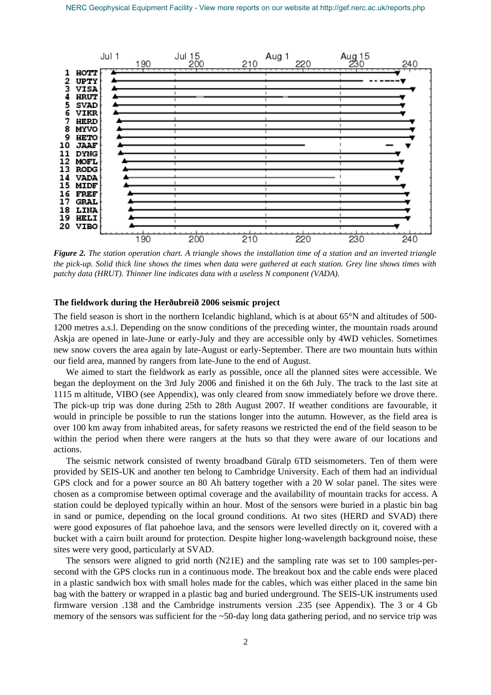

*Figure 2. The station operation chart. A triangle shows the installation time of a station and an inverted triangle the pick-up. Solid thick line shows the times when data were gathered at each station. Grey line shows times with patchy data (HRUT). Thinner line indicates data with a useless N component (VADA).*

#### **The fieldwork during the Herðubreið 2006 seismic project**

The field season is short in the northern Icelandic highland, which is at about 65°N and altitudes of 500- 1200 metres a.s.l. Depending on the snow conditions of the preceding winter, the mountain roads around Askja are opened in late-June or early-July and they are accessible only by 4WD vehicles. Sometimes new snow covers the area again by late-August or early-September. There are two mountain huts within our field area, manned by rangers from late-June to the end of August.

We aimed to start the fieldwork as early as possible, once all the planned sites were accessible. We began the deployment on the 3rd July 2006 and finished it on the 6th July. The track to the last site at 1115 m altitude, VIBO (see Appendix), was only cleared from snow immediately before we drove there. The pick-up trip was done during 25th to 28th August 2007. If weather conditions are favourable, it would in principle be possible to run the stations longer into the autumn. However, as the field area is over 100 km away from inhabited areas, for safety reasons we restricted the end of the field season to be within the period when there were rangers at the huts so that they were aware of our locations and actions.

The seismic network consisted of twenty broadband Güralp 6TD seismometers. Ten of them were provided by SEIS-UK and another ten belong to Cambridge University. Each of them had an individual GPS clock and for a power source an 80 Ah battery together with a 20 W solar panel. The sites were chosen as a compromise between optimal coverage and the availability of mountain tracks for access. A station could be deployed typically within an hour. Most of the sensors were buried in a plastic bin bag in sand or pumice, depending on the local ground conditions. At two sites (HERD and SVAD) there were good exposures of flat pahoehoe lava, and the sensors were levelled directly on it, covered with a bucket with a cairn built around for protection. Despite higher long-wavelength background noise, these sites were very good, particularly at SVAD.

The sensors were aligned to grid north (N21E) and the sampling rate was set to 100 samples-persecond with the GPS clocks run in a continuous mode. The breakout box and the cable ends were placed in a plastic sandwich box with small holes made for the cables, which was either placed in the same bin bag with the battery or wrapped in a plastic bag and buried underground. The SEIS-UK instruments used firmware version .138 and the Cambridge instruments version .235 (see Appendix). The 3 or 4 Gb memory of the sensors was sufficient for the ~50-day long data gathering period, and no service trip was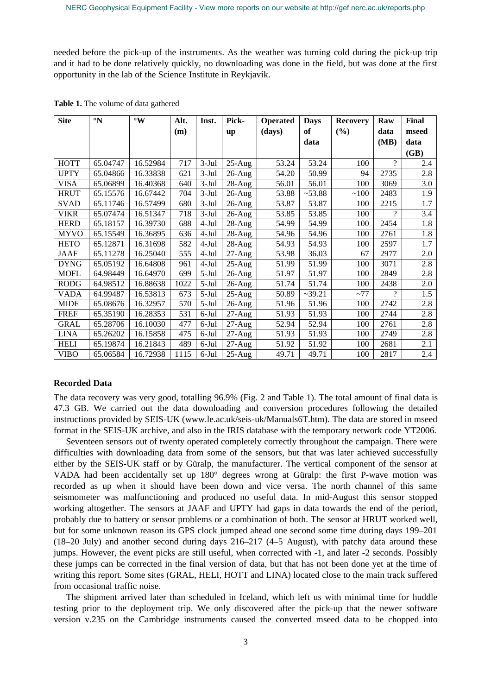needed before the pick-up of the instruments. As the weather was turning cold during the pick-up trip and it had to be done relatively quickly, no downloading was done in the field, but was done at the first opportunity in the lab of the Science Institute in Reykjavík.

| <b>Site</b> | $\mathbf{N}^{\circ}$ | $\mathbf{W}^{\circ}$ | Alt. | Inst.    | Pick-     | <b>Operated</b> | <b>Days</b> | <b>Recovery</b> | Raw      | Final |
|-------------|----------------------|----------------------|------|----------|-----------|-----------------|-------------|-----------------|----------|-------|
|             |                      |                      | (m)  |          | <b>up</b> | (days)          | <b>of</b>   | (%)             | data     | mseed |
|             |                      |                      |      |          |           |                 | data        |                 | (MB)     | data  |
|             |                      |                      |      |          |           |                 |             |                 |          | (GB)  |
| <b>HOTT</b> | 65.04747             | 16.52984             | 717  | $3-Jul$  | $25-Aug$  | 53.24           | 53.24       | 100             | $\gamma$ | 2.4   |
| <b>UPTY</b> | 65.04866             | 16.33838             | 621  | $3-Jul$  | $26$ -Aug | 54.20           | 50.99       | 94              | 2735     | 2.8   |
| <b>VISA</b> | 65.06899             | 16.40368             | 640  | $3-Jul$  | $28-Aug$  | 56.01           | 56.01       | 100             | 3069     | 3.0   |
| <b>HRUT</b> | 65.15576             | 16.67442             | 704  | $3-Jul$  | $26$ -Aug | 53.88           | ~53.88      | ~100            | 2483     | 1.9   |
| <b>SVAD</b> | 65.11746             | 16.57499             | 680  | $3-Jul$  | $26$ -Aug | 53.87           | 53.87       | 100             | 2215     | 1.7   |
| <b>VIKR</b> | 65.07474             | 16.51347             | 718  | $3-Jul$  | $26$ -Aug | 53.85           | 53.85       | 100             | 9        | 3.4   |
| <b>HERD</b> | 65.18157             | 16.39730             | 688  | $4-Jul$  | $28-Aug$  | 54.99           | 54.99       | 100             | 2454     | 1.8   |
| <b>MYVO</b> | 65.15549             | 16.36895             | 636  | $4-Jul$  | $28-Aug$  | 54.96           | 54.96       | 100             | 2761     | 1.8   |
| <b>HETO</b> | 65.12871             | 16.31698             | 582  | $4-Jul$  | $28-Aug$  | 54.93           | 54.93       | 100             | 2597     | 1.7   |
| <b>JAAF</b> | 65.11278             | 16.25040             | 555  | $4-Jul$  | $27-Aug$  | 53.98           | 36.03       | 67              | 2977     | 2.0   |
| <b>DYNG</b> | 65.05192             | 16.64808             | 961  | $4-Jul$  | $25-Aug$  | 51.99           | 51.99       | 100             | 3071     | 2.8   |
| <b>MOFL</b> | 64.98449             | 16.64970             | 699  | $5-Jul$  | $26$ -Aug | 51.97           | 51.97       | 100             | 2849     | 2.8   |
| <b>RODG</b> | 64.98512             | 16.88638             | 1022 | $5-Jul$  | $26$ -Aug | 51.74           | 51.74       | 100             | 2438     | 2.0   |
| <b>VADA</b> | 64.99487             | 16.53813             | 673  | $5-Jul$  | $25-Aug$  | 50.89           | $-39.21$    | ~177            | $\gamma$ | 1.5   |
| <b>MIDF</b> | 65.08676             | 16.32957             | 570  | $5-Jul$  | $26$ -Aug | 51.96           | 51.96       | 100             | 2742     | 2.8   |
| <b>FREF</b> | 65.35190             | 16.28353             | 531  | $6$ -Jul | $27-Aug$  | 51.93           | 51.93       | 100             | 2744     | 2.8   |
| <b>GRAL</b> | 65.28706             | 16.10030             | 477  | $6$ -Jul | $27-Aug$  | 52.94           | 52.94       | 100             | 2761     | 2.8   |
| <b>LINA</b> | 65.26202             | 16.15858             | 475  | $6$ -Jul | $27-Aug$  | 51.93           | 51.93       | 100             | 2749     | 2.8   |
| <b>HELI</b> | 65.19874             | 16.21843             | 489  | $6-Jul$  | $27-Aug$  | 51.92           | 51.92       | 100             | 2681     | 2.1   |
| <b>VIBO</b> | 65.06584             | 16.72938             | 1115 | $6-Jul$  | $25-Aug$  | 49.71           | 49.71       | 100             | 2817     | 2.4   |

**Table 1.** The volume of data gathered

#### **Recorded Data**

The data recovery was very good, totalling 96.9% (Fig. 2 and Table 1). The total amount of final data is 47.3 GB. We carried out the data downloading and conversion procedures following the detailed instructions provided by SEIS-UK (www.le.ac.uk/seis-uk/Manuals6T.htm). The data are stored in mseed format in the SEIS-UK archive, and also in the IRIS database with the temporary network code YT2006.

Seventeen sensors out of twenty operated completely correctly throughout the campaign. There were difficulties with downloading data from some of the sensors, but that was later achieved successfully either by the SEIS-UK staff or by Güralp, the manufacturer. The vertical component of the sensor at VADA had been accidentally set up 180° degrees wrong at Güralp: the first P-wave motion was recorded as up when it should have been down and vice versa. The north channel of this same seismometer was malfunctioning and produced no useful data. In mid-August this sensor stopped working altogether. The sensors at JAAF and UPTY had gaps in data towards the end of the period, probably due to battery or sensor problems or a combination of both. The sensor at HRUT worked well, but for some unknown reason its GPS clock jumped ahead one second some time during days 199–201  $(18–20 \text{ July})$  and another second during days  $216–217$   $(4–5 \text{ August})$ , with patchy data around these jumps. However, the event picks are still useful, when corrected with -1, and later -2 seconds. Possibly these jumps can be corrected in the final version of data, but that has not been done yet at the time of writing this report. Some sites (GRAL, HELI, HOTT and LINA) located close to the main track suffered from occasional traffic noise.

The shipment arrived later than scheduled in Iceland, which left us with minimal time for huddle testing prior to the deployment trip. We only discovered after the pick-up that the newer software version v.235 on the Cambridge instruments caused the converted mseed data to be chopped into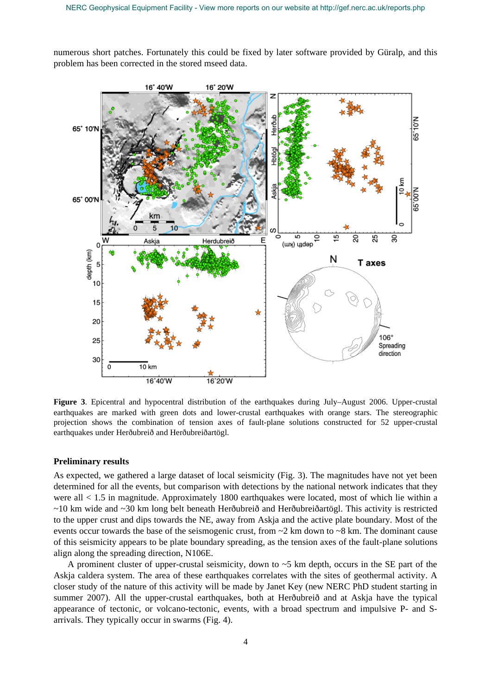numerous short patches. Fortunately this could be fixed by later software provided by Güralp, and this problem has been corrected in the stored mseed data.



**Figure 3**. Epicentral and hypocentral distribution of the earthquakes during July–August 2006. Upper-crustal earthquakes are marked with green dots and lower-crustal earthquakes with orange stars. The stereographic projection shows the combination of tension axes of fault-plane solutions constructed for 52 upper-crustal earthquakes under Herðubreið and Herðubreiðartögl.

#### **Preliminary results**

As expected, we gathered a large dataset of local seismicity (Fig. 3). The magnitudes have not yet been determined for all the events, but comparison with detections by the national network indicates that they were all < 1.5 in magnitude. Approximately 1800 earthquakes were located, most of which lie within a ~10 km wide and ~30 km long belt beneath Herðubreið and Herðubreiðartögl. This activity is restricted to the upper crust and dips towards the NE, away from Askja and the active plate boundary. Most of the events occur towards the base of the seismogenic crust, from  $\sim$ 2 km down to  $\sim$ 8 km. The dominant cause of this seismicity appears to be plate boundary spreading, as the tension axes of the fault-plane solutions align along the spreading direction, N106E.

A prominent cluster of upper-crustal seismicity, down to  $\sim$ 5 km depth, occurs in the SE part of the Askja caldera system. The area of these earthquakes correlates with the sites of geothermal activity. A closer study of the nature of this activity will be made by Janet Key (new NERC PhD student starting in summer 2007). All the upper-crustal earthquakes, both at Herðubreið and at Askja have the typical appearance of tectonic, or volcano-tectonic, events, with a broad spectrum and impulsive P- and Sarrivals. They typically occur in swarms (Fig. 4).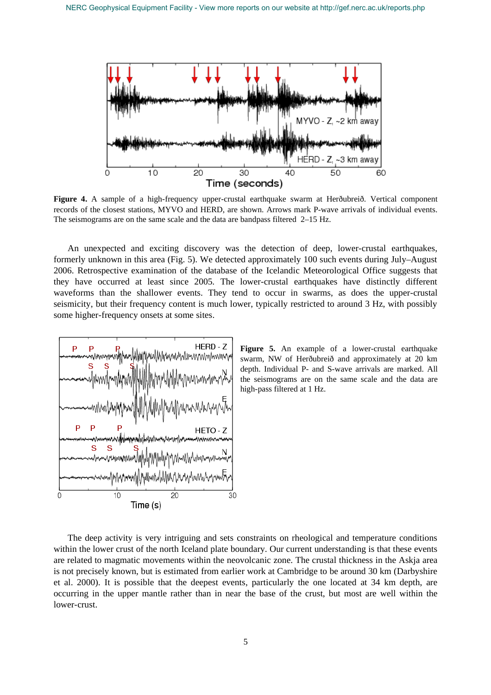

**Figure 4.** A sample of a high-frequency upper-crustal earthquake swarm at Herðubreið. Vertical component records of the closest stations, MYVO and HERD, are shown. Arrows mark P-wave arrivals of individual events. The seismograms are on the same scale and the data are bandpass filtered 2–15 Hz.

An unexpected and exciting discovery was the detection of deep, lower-crustal earthquakes, formerly unknown in this area (Fig. 5). We detected approximately 100 such events during July–August 2006. Retrospective examination of the database of the Icelandic Meteorological Office suggests that they have occurred at least since 2005. The lower-crustal earthquakes have distinctly different waveforms than the shallower events. They tend to occur in swarms, as does the upper-crustal seismicity, but their frequency content is much lower, typically restricted to around 3 Hz, with possibly some higher-frequency onsets at some sites.



**Figure 5.** An example of a lower-crustal earthquake swarm, NW of Herðubreið and approximately at 20 km depth. Individual P- and S-wave arrivals are marked. All the seismograms are on the same scale and the data are high-pass filtered at 1 Hz.

The deep activity is very intriguing and sets constraints on rheological and temperature conditions within the lower crust of the north Iceland plate boundary. Our current understanding is that these events are related to magmatic movements within the neovolcanic zone. The crustal thickness in the Askja area is not precisely known, but is estimated from earlier work at Cambridge to be around 30 km (Darbyshire et al. 2000). It is possible that the deepest events, particularly the one located at 34 km depth, are occurring in the upper mantle rather than in near the base of the crust, but most are well within the lower-crust.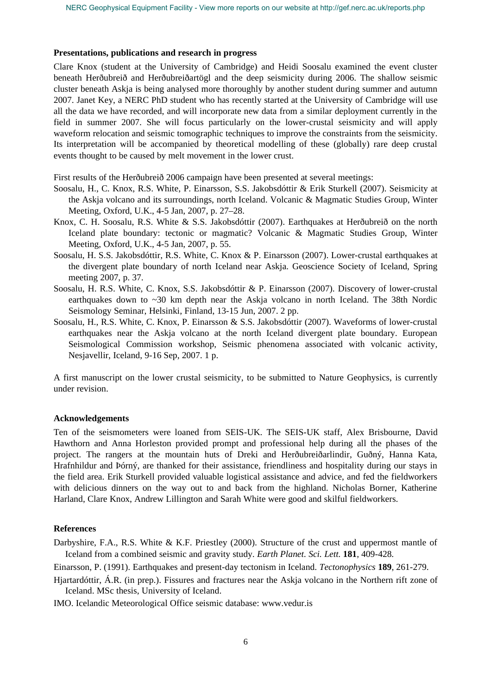#### **Presentations, publications and research in progress**

Clare Knox (student at the University of Cambridge) and Heidi Soosalu examined the event cluster beneath Herðubreið and Herðubreiðartögl and the deep seismicity during 2006. The shallow seismic cluster beneath Askja is being analysed more thoroughly by another student during summer and autumn 2007. Janet Key, a NERC PhD student who has recently started at the University of Cambridge will use all the data we have recorded, and will incorporate new data from a similar deployment currently in the field in summer 2007. She will focus particularly on the lower-crustal seismicity and will apply waveform relocation and seismic tomographic techniques to improve the constraints from the seismicity. Its interpretation will be accompanied by theoretical modelling of these (globally) rare deep crustal events thought to be caused by melt movement in the lower crust.

First results of the Herðubreið 2006 campaign have been presented at several meetings:

- Soosalu, H., C. Knox, R.S. White, P. Einarsson, S.S. Jakobsdóttir & Erik Sturkell (2007). Seismicity at the Askja volcano and its surroundings, north Iceland. Volcanic & Magmatic Studies Group, Winter Meeting, Oxford, U.K., 4-5 Jan, 2007, p. 27–28.
- Knox, C. H. Soosalu, R.S. White & S.S. Jakobsdóttir (2007). Earthquakes at Herðubreið on the north Iceland plate boundary: tectonic or magmatic? Volcanic & Magmatic Studies Group, Winter Meeting, Oxford, U.K., 4-5 Jan, 2007, p. 55.
- Soosalu, H. S.S. Jakobsdóttir, R.S. White, C. Knox & P. Einarsson (2007). Lower-crustal earthquakes at the divergent plate boundary of north Iceland near Askja. Geoscience Society of Iceland, Spring meeting 2007, p. 37.
- Soosalu, H. R.S. White, C. Knox, S.S. Jakobsdóttir & P. Einarsson (2007). Discovery of lower-crustal earthquakes down to ~30 km depth near the Askja volcano in north Iceland. The 38th Nordic Seismology Seminar, Helsinki, Finland, 13-15 Jun, 2007. 2 pp.
- Soosalu, H., R.S. White, C. Knox, P. Einarsson & S.S. Jakobsdóttir (2007). Waveforms of lower-crustal earthquakes near the Askja volcano at the north Iceland divergent plate boundary. European Seismological Commission workshop, Seismic phenomena associated with volcanic activity, Nesjavellir, Iceland, 9-16 Sep, 2007. 1 p.

A first manuscript on the lower crustal seismicity, to be submitted to Nature Geophysics, is currently under revision.

### **Acknowledgements**

Ten of the seismometers were loaned from SEIS-UK. The SEIS-UK staff, Alex Brisbourne, David Hawthorn and Anna Horleston provided prompt and professional help during all the phases of the project. The rangers at the mountain huts of Dreki and Herðubreiðarlindir, Guðný, Hanna Kata, Hrafnhildur and Þórný, are thanked for their assistance, friendliness and hospitality during our stays in the field area. Erik Sturkell provided valuable logistical assistance and advice, and fed the fieldworkers with delicious dinners on the way out to and back from the highland. Nicholas Borner, Katherine Harland, Clare Knox, Andrew Lillington and Sarah White were good and skilful fieldworkers.

#### **References**

Darbyshire, F.A., R.S. White & K.F. Priestley (2000). Structure of the crust and uppermost mantle of Iceland from a combined seismic and gravity study. *Earth Planet. Sci. Lett.* **181**, 409-428.

Einarsson, P. (1991). Earthquakes and present-day tectonism in Iceland. *Tectonophysics* **189**, 261-279.

Hjartardóttir, Á.R. (in prep.). Fissures and fractures near the Askja volcano in the Northern rift zone of Iceland. MSc thesis, University of Iceland.

IMO. Icelandic Meteorological Office seismic database: www.vedur.is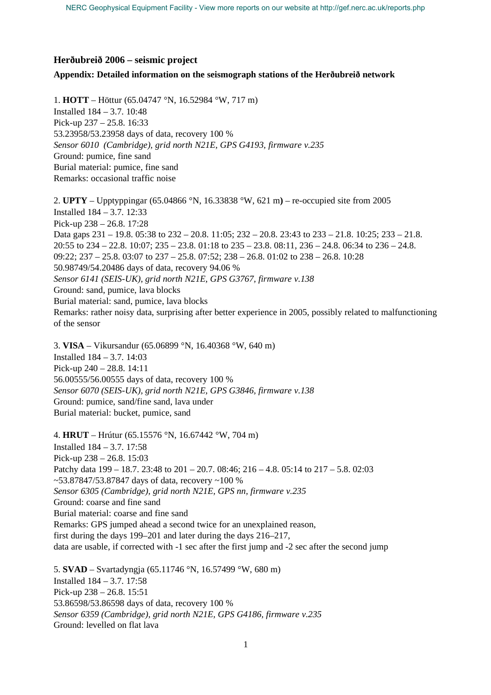# **Herðubreið 2006 – seismic project**

## **Appendix: Detailed information on the seismograph stations of the Herðubreið network**

1. **HOTT** – Höttur (65.04747 °N, 16.52984 °W, 717 m) Installed 184 – 3.7. 10:48 Pick-up 237 – 25.8. 16:33 53.23958/53.23958 days of data, recovery 100 % *Sensor 6010 (Cambridge), grid north N21E, GPS G4193, firmware v.235* Ground: pumice, fine sand Burial material: pumice, fine sand Remarks: occasional traffic noise

2. **UPTY** – Upptyppingar (65.04866 °N, 16.33838 °W, 621 m**)** – re-occupied site from 2005 Installed 184 – 3.7. 12:33 Pick-up 238 – 26.8. 17:28 Data gaps 231 – 19.8. 05:38 to 232 – 20.8. 11:05; 232 – 20.8. 23:43 to 233 – 21.8. 10:25; 233 – 21.8. 20:55 to  $234 - 22.8$ .  $10:07$ ;  $235 - 23.8$ .  $01:18$  to  $235 - 23.8$ .  $08:11$ ,  $236 - 24.8$ .  $06:34$  to  $236 - 24.8$ . 09:22; 237 – 25.8. 03:07 to 237 – 25.8. 07:52; 238 – 26.8. 01:02 to 238 – 26.8. 10:28 50.98749/54.20486 days of data, recovery 94.06 % *Sensor 6141 (SEIS-UK), grid north N21E, GPS G3767, firmware v.138* Ground: sand, pumice, lava blocks Burial material: sand, pumice, lava blocks Remarks: rather noisy data, surprising after better experience in 2005, possibly related to malfunctioning of the sensor

3. **VISA** – Vikursandur (65.06899 °N, 16.40368 °W, 640 m) Installed 184 – 3.7. 14:03 Pick-up 240 – 28.8. 14:11 56.00555/56.00555 days of data, recovery 100 % *Sensor 6070 (SEIS-UK), grid north N21E, GPS G3846, firmware v.138* Ground: pumice, sand/fine sand, lava under Burial material: bucket, pumice, sand

4. **HRUT** – Hrútur (65.15576 °N, 16.67442 °W, 704 m) Installed 184 – 3.7. 17:58 Pick-up 238 – 26.8. 15:03 Patchy data 199 – 18.7. 23:48 to 201 – 20.7. 08:46; 216 – 4.8. 05:14 to 217 – 5.8. 02:03  $~53.87847/53.87847$  days of data, recovery  $~100\%$ *Sensor 6305 (Cambridge), grid north N21E, GPS nn, firmware v.235* Ground: coarse and fine sand Burial material: coarse and fine sand Remarks: GPS jumped ahead a second twice for an unexplained reason, first during the days 199–201 and later during the days 216–217, data are usable, if corrected with -1 sec after the first jump and -2 sec after the second jump

5. **SVAD** – Svartadyngja (65.11746 °N, 16.57499 °W, 680 m) Installed 184 – 3.7. 17:58 Pick-up 238 – 26.8. 15:51 53.86598/53.86598 days of data, recovery 100 % *Sensor 6359 (Cambridge), grid north N21E, GPS G4186, firmware v.235* Ground: levelled on flat lava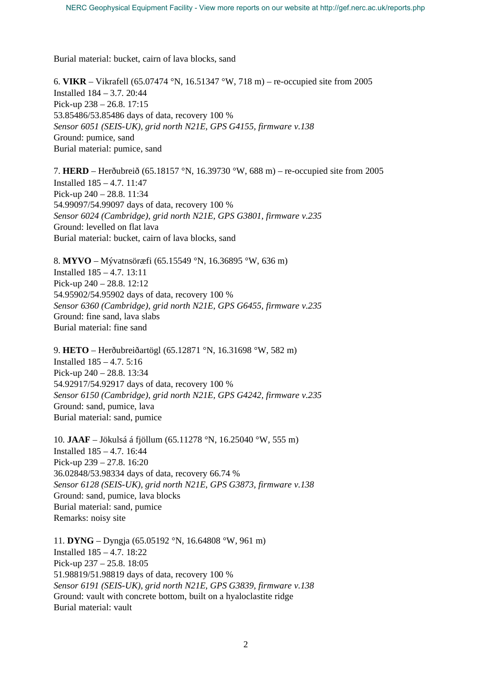Burial material: bucket, cairn of lava blocks, sand

6. **VIKR** – Vikrafell (65.07474 °N, 16.51347 °W, 718 m) – re-occupied site from 2005 Installed 184 – 3.7. 20:44 Pick-up 238 – 26.8. 17:15 53.85486/53.85486 days of data, recovery 100 % *Sensor 6051 (SEIS-UK), grid north N21E, GPS G4155, firmware v.138* Ground: pumice, sand Burial material: pumice, sand

7. **HERD** – Herðubreið (65.18157 °N, 16.39730 °W, 688 m) – re-occupied site from 2005 Installed 185 – 4.7. 11:47 Pick-up 240 – 28.8. 11:34 54.99097/54.99097 days of data, recovery 100 % *Sensor 6024 (Cambridge), grid north N21E, GPS G3801, firmware v.235* Ground: levelled on flat lava Burial material: bucket, cairn of lava blocks, sand

8. **MYVO** – Mývatnsöræfi (65.15549 °N, 16.36895 °W, 636 m) Installed 185 – 4.7. 13:11 Pick-up 240 – 28.8. 12:12 54.95902/54.95902 days of data, recovery 100 % *Sensor 6360 (Cambridge), grid north N21E, GPS G6455, firmware v.235* Ground: fine sand, lava slabs Burial material: fine sand

9. **HETO** – Herðubreiðartögl (65.12871 °N, 16.31698 °W, 582 m) Installed 185 – 4.7. 5:16 Pick-up 240 – 28.8. 13:34 54.92917/54.92917 days of data, recovery 100 % *Sensor 6150 (Cambridge), grid north N21E, GPS G4242, firmware v.235* Ground: sand, pumice, lava Burial material: sand, pumice

10. **JAAF** – Jökulsá á fjöllum (65.11278 °N, 16.25040 °W, 555 m) Installed 185 – 4.7. 16:44 Pick-up 239 – 27.8. 16:20 36.02848/53.98334 days of data, recovery 66.74 % *Sensor 6128 (SEIS-UK), grid north N21E, GPS G3873, firmware v.138* Ground: sand, pumice, lava blocks Burial material: sand, pumice Remarks: noisy site

11. **DYNG** – Dyngja (65.05192 °N, 16.64808 °W, 961 m) Installed 185 – 4.7. 18:22 Pick-up 237 – 25.8. 18:05 51.98819/51.98819 days of data, recovery 100 % *Sensor 6191 (SEIS-UK), grid north N21E, GPS G3839, firmware v.138* Ground: vault with concrete bottom, built on a hyaloclastite ridge Burial material: vault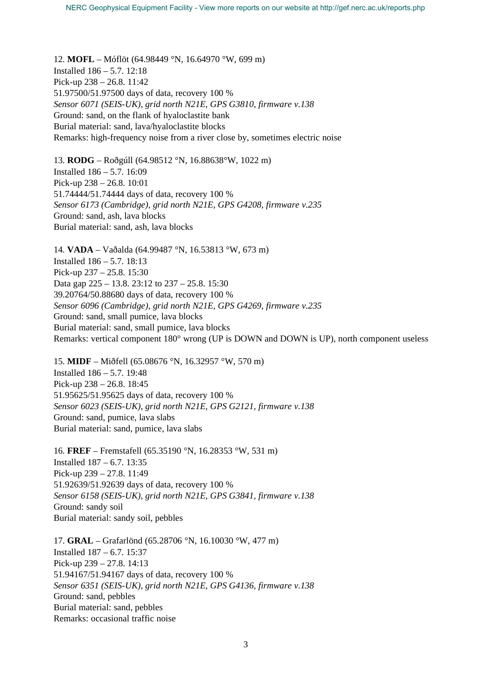12. **MOFL** – Móflöt (64.98449 °N, 16.64970 °W, 699 m) Installed 186 – 5.7. 12:18 Pick-up 238 – 26.8. 11:42 51.97500/51.97500 days of data, recovery 100 % *Sensor 6071 (SEIS-UK), grid north N21E, GPS G3810, firmware v.138* Ground: sand, on the flank of hyaloclastite bank Burial material: sand, lava/hyaloclastite blocks Remarks: high-frequency noise from a river close by, sometimes electric noise

13. **RODG** – Roðgúll (64.98512 °N, 16.88638°W, 1022 m) Installed 186 – 5.7. 16:09 Pick-up 238 – 26.8. 10:01 51.74444/51.74444 days of data, recovery 100 % *Sensor 6173 (Cambridge), grid north N21E, GPS G4208, firmware v.235* Ground: sand, ash, lava blocks Burial material: sand, ash, lava blocks

14. **VADA** – Vaðalda (64.99487 °N, 16.53813 °W, 673 m) Installed 186 – 5.7. 18:13 Pick-up 237 – 25.8. 15:30 Data gap 225 – 13.8. 23:12 to 237 – 25.8. 15:30 39.20764/50.88680 days of data, recovery 100 % *Sensor 6096 (Cambridge), grid north N21E, GPS G4269, firmware v.235* Ground: sand, small pumice, lava blocks Burial material: sand, small pumice, lava blocks Remarks: vertical component 180° wrong (UP is DOWN and DOWN is UP), north component useless

15. **MIDF** – Miðfell (65.08676 °N, 16.32957 °W, 570 m) Installed 186 – 5.7. 19:48 Pick-up 238 – 26.8. 18:45 51.95625/51.95625 days of data, recovery 100 % *Sensor 6023 (SEIS-UK), grid north N21E, GPS G2121, firmware v.138* Ground: sand, pumice, lava slabs Burial material: sand, pumice, lava slabs

16. **FREF** – Fremstafell (65.35190 °N, 16.28353 °W, 531 m) Installed 187 – 6.7. 13:35 Pick-up 239 – 27.8. 11:49 51.92639/51.92639 days of data, recovery 100 % *Sensor 6158 (SEIS-UK), grid north N21E, GPS G3841, firmware v.138* Ground: sandy soil Burial material: sandy soil, pebbles

17. **GRAL** – Grafarlönd (65.28706 °N, 16.10030 °W, 477 m) Installed 187 – 6.7. 15:37 Pick-up 239 – 27.8. 14:13 51.94167/51.94167 days of data, recovery 100 % *Sensor 6351 (SEIS-UK), grid north N21E, GPS G4136, firmware v.138* Ground: sand, pebbles Burial material: sand, pebbles Remarks: occasional traffic noise